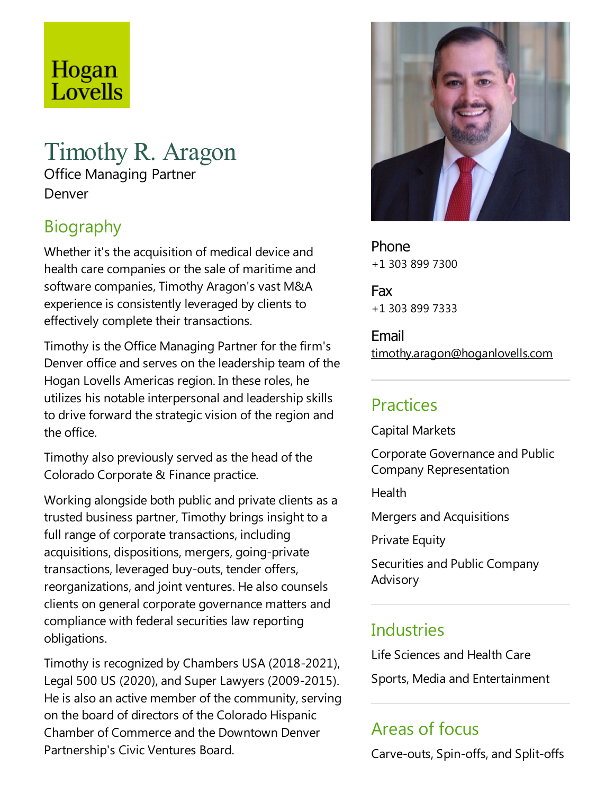## Hogan Lovells

# Timothy R. Aragon

Office Managing Partner Denver

## **Biography**

Whether it's the acquisition of medical device and health care companies or the sale of maritime and software companies, Timothy Aragon's vast M&A experience is consistently leveraged by clients to effectively complete their transactions.

Timothy is the Office Managing Partner for the firm's Denver office and serves on the leadership team of the Hogan Lovells Americas region. In these roles, he utilizes his notable interpersonal and leadership skills to drive forward the strategic vision of the region and the office.

Timothy also previously served as the head of the Colorado Corporate & Finance practice.

Working alongside both public and private clients as a trusted business partner, Timothy brings insight to a full range of corporate transactions, including acquisitions, dispositions, mergers, going-private transactions, leveraged buy-outs, tender offers, reorganizations, and joint ventures. He also counsels clients on general corporate governance matters and compliance with federal securities law reporting obligations.

Timothy is recognized by Chambers USA (2018-2021), Legal 500 US (2020), and Super Lawyers (2009-2015). He is also an active member of the community, serving on the board of directors of the Colorado Hispanic Chamber of Commerce and the Downtown Denver Partnership's Civic Ventures Board.



Phone +1 303 899 7300

Fax +1 303 899 7333

Email timothy.aragon@hoganlovells.com

### Practices

Capital Markets

Corporate Governance and Public Company Representation

Health

Mergers and Acquisitions

**Private Equity** 

Securities and Public Company Advisory

#### **Industries**

Life Sciences and Health Care

Sports, Media and Entertainment

### Areas of focus

Carve-outs, Spin-offs,and Split-offs